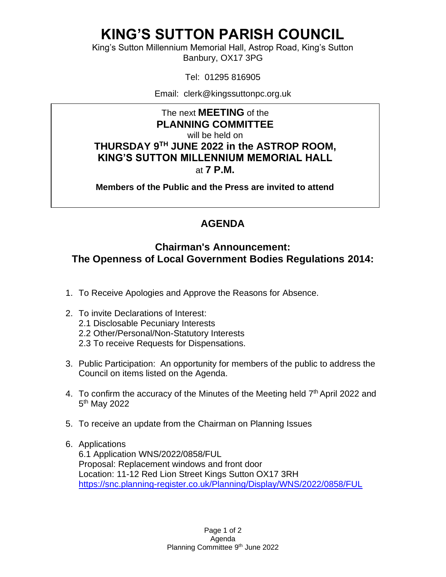## **KING'S SUTTON PARISH COUNCIL**

King's Sutton Millennium Memorial Hall, Astrop Road, King's Sutton Banbury, OX17 3PG

Tel: 01295 816905

Email: clerk@kingssuttonpc.org.uk

The next **MEETING** of the **PLANNING COMMITTEE** will be held on **THURSDAY 9 TH JUNE 2022 in the ASTROP ROOM, KING'S SUTTON MILLENNIUM MEMORIAL HALL** at **7 P.M.** 

**Members of the Public and the Press are invited to attend** 

## **AGENDA**

## **Chairman's Announcement: The Openness of Local Government Bodies Regulations 2014:**

- 1. To Receive Apologies and Approve the Reasons for Absence.
- 2. To invite Declarations of Interest: 2.1 Disclosable Pecuniary Interests 2.2 Other/Personal/Non-Statutory Interests
	- 2.3 To receive Requests for Dispensations.
- 3. Public Participation: An opportunity for members of the public to address the Council on items listed on the Agenda.
- 4. To confirm the accuracy of the Minutes of the Meeting held 7<sup>th</sup> April 2022 and 5<sup>th</sup> May 2022
- 5. To receive an update from the Chairman on Planning Issues
- 6. Applications 6.1 Application WNS/2022/0858/FUL Proposal: Replacement windows and front door Location: 11-12 Red Lion Street Kings Sutton OX17 3RH <https://snc.planning-register.co.uk/Planning/Display/WNS/2022/0858/FUL>